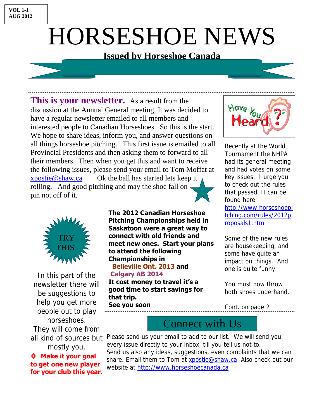## **VOL 1-1 AUG 2012**

## HORSESHOE NEWS

## **Issued by Horseshoe Canada**

**The 2012 Canadian Horseshoe Pitching Championships held in Saskatoon were a great way to connect with old friends and** 

**meet new ones. Start your plans** 

**to attend the following** 

 **Belleville Ont. 2013 and** 

**It cost money to travel it's a** 

**Championships in** 

**Calgary AB 2014** 

**that trip.** 

**This is your newsletter.** As a result from the discussion at the Annual General meeting, It was decided to have a regular newsletter emailed to all members and interested people to Canadian Horseshoes. So this is the start. We hope to share ideas, inform you, and answer questions on all things horseshoe pitching. This first issue is emailed to all Provincial Presidents and then asking them to forward to all their members. Then when you get this and want to receive the following issues, please send your email to Tom Moffat at xpostie@shaw.ca Ok the ball has started lets keep it rolling. And good pitching and may the shoe fall on pin not off of it.



Recently at the World Tournament the NHPA had its general meeting and had votes on some key issues. I urge you to check out the rules that passed. It can be found here http://www.horseshoepi tching.com/rules/2012p roposals1.html

Some of the new rules are housekeeping, and some have quite an impact on things. And one is quite funny.

You must now throw both shoes underhand.

Cont. on page 2

**good time to start savings for See you soon** 



Please send us your email to add to our list. We will send you every issue directly to your inbox, till you tell us not to. Send us also any ideas, suggestions, even complaints that we can share. Email them to Tom at **xpostie@shaw.ca** Also check out our website at http://www.horseshoecanada.ca



In this part of the newsletter there will be suggestions to help you get more people out to play horseshoes. They will come from all kind of sources but mostly you.

## **◊ Make it your goal to get one new player for your club this year**.